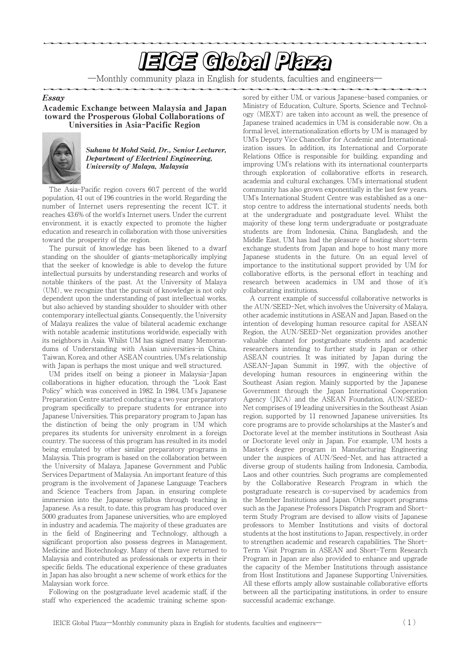# **EIGE Global Plaza**

―Monthly community plaza in English for students, faculties and engineers―

Essay

Academic Exchange between Malaysia and Japan toward the Prosperous Global Collaborations of Universities in Asia**-**Pacific Region



### Suhana bt Mohd Said, Dr., Senior Lecturer, Department of Electrical Engineering, University of Malaya, Malaysia

The Asia-Pacific region covers 60.7 percent of the world population, 41 out of 196 countries in the world. Regarding the number of Internet users representing the recent ICT, it reaches 43.6% of the world's Internet users. Under the current environment, it is exactly expected to promote the higher education and research in collaboration with those universities toward the prosperity of the region.

The pursuit of knowledge has been likened to a dwarf standing on the shoulder of giants-metaphorically implying that the seeker of knowledge is able to develop the future intellectual pursuits by understanding research and works of notable thinkers of the past. At the University of Malaya (UM), we recognize that the pursuit of knowledge is not only dependent upon the understanding of past intellectual works, but also achieved by standing shoulder to shoulder with other contemporary intellectual giants. Consequently, the University of Malaya realizes the value of bilateral academic exchange with notable academic institutions worldwide, especially with its neighbors in Asia. Whilst UM has signed many Memorandums of Understanding with Asian universities-in China, Taiwan, Korea, and other ASEAN countries, UM's relationship with Japan is perhaps the most unique and well structured.

UM prides itself on being a pioneer in Malaysia-Japan collaborations in higher education, through the "Look East Policy" which was conceived in 1982. In 1984, UM's Japanese Preparation Centre started conducting a two year preparatory program specifically to prepare students for entrance into Japanese Universities. This preparatory program to Japan has the distinction of being the only program in UM which prepares its students for university enrolment in a foreign country. The success of this program has resulted in its model being emulated by other similar preparatory programs in Malaysia. This program is based on the collaboration between the University of Malaya, Japanese Government and Public Services Department of Malaysia. An important feature of this program is the involvement of Japanese Language Teachers and Science Teachers from Japan, in ensuring complete immersion into the Japanese syllabus through teaching in Japanese. As a result, to date, this program has produced over 5000 graduates from Japanese universities, who are employed in industry and academia. The majority of these graduates are in the field of Engineering and Technology, although a significant proportion also possess degrees in Management, Medicine and Biotechnology. Many of them have returned to Malaysia and contributed as professionals or experts in their specific fields. The educational experience of these graduates in Japan has also brought a new scheme of work ethics for the Malaysian work force.

Following on the postgraduate level academic staff, if the staff who experienced the academic training scheme sponsored by either UM, or various Japanese-based companies, or Ministry of Education, Culture, Sports, Science and Technology (MEXT) are taken into account as well, the presence of Japanese trained academics in UM is considerable now. On a formal level, internationalization efforts by UM is managed by UM's Deputy Vice Chancellor for Academic and Internationalization issues. In addition, its International and Corporate Relations Office is responsible for building, expanding and improving UM's relations with its international counterparts through exploration of collaborative efforts in research, academia and cultural exchanges. UM's international student community has also grown exponentially in the last few years. UM's International Student Centre was established as a onestop centre to address the international students' needs, both at the undergraduate and postgraduate level. Whilst the majority of these long term undergraduate or postgraduate students are from Indonesia, China, Bangladesh, and the Middle East, UM has had the pleasure of hosting short-term exchange students from Japan and hope to host many more Japanese students in the future. On an equal level of importance to the institutional support provided by UM for collaborative efforts, is the personal effort in teaching and research between academics in UM and those of it's collaborating institutions.

A current example of successful collaborative networks is the AUN/SEED-Net, which involves the University of Malaya, other academic institutions in ASEAN and Japan. Based on the intention of developing human resource capital for ASEAN Region, the AUN/SEED-Net organization provides another valuable channel for postgraduate students and academic researchers intending to further study in Japan or other ASEAN countries. It was initiated by Japan during the ASEAN-Japan Summit in 1997, with the objective of developing human resources in engineering within the Southeast Asian region. Mainly supported by the Japanese Government through the Japan International Cooperation Agency (JICA) and the ASEAN Foundation, AUN/SEED-Net comprises of 19 leading universities in the Southeast Asian region, supported by 11 renowned Japanese universities. Its core programs are to provide scholarships at the Master's and Doctorate level at the member institutions in Southeast Asia or Doctorate level only in Japan. For example, UM hosts a Master's degree program in Manufacturing Engineering under the auspices of AUN/Seed-Net, and has attracted a diverse group of students hailing from Indonesia, Cambodia, Laos and other countries. Such programs are complemented by the Collaborative Research Program in which the postgraduate research is co-supervised by academics from the Member Institutions and Japan. Other support programs such as the Japanese Professors Dispatch Program and Shortterm Study Program are devised to allow visits of Japanese professors to Member Institutions and visits of doctoral students at the host institutions to Japan, respectively, in order to strengthen academic and research capabilities. The Short-Term Visit Program in ASEAN and Short-Term Research Program in Japan are also provided to enhance and upgrade the capacity of the Member Institutions through assistance from Host Institutions and Japanese Supporting Universities. All these efforts amply allow sustainable collaborative efforts between all the participating institutions, in order to ensure successful academic exchange.